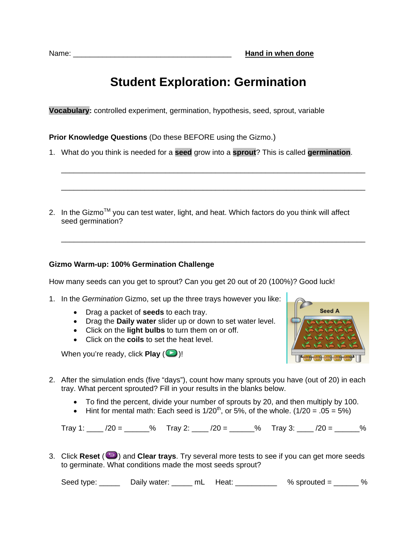# **Student Exploration: Germination**

**Vocabulary:** controlled experiment, germination, hypothesis, seed, sprout, variable

**Prior Knowledge Questions** (Do these BEFORE using the Gizmo.)

1. What do you think is needed for a **seed** grow into a **sprout**? This is called **germination**.

\_\_\_\_\_\_\_\_\_\_\_\_\_\_\_\_\_\_\_\_\_\_\_\_\_\_\_\_\_\_\_\_\_\_\_\_\_\_\_\_\_\_\_\_\_\_\_\_\_\_\_\_\_\_\_\_\_\_\_\_\_\_\_\_\_\_\_\_\_\_\_\_\_

\_\_\_\_\_\_\_\_\_\_\_\_\_\_\_\_\_\_\_\_\_\_\_\_\_\_\_\_\_\_\_\_\_\_\_\_\_\_\_\_\_\_\_\_\_\_\_\_\_\_\_\_\_\_\_\_\_\_\_\_\_\_\_\_\_\_\_\_\_\_\_\_\_

\_\_\_\_\_\_\_\_\_\_\_\_\_\_\_\_\_\_\_\_\_\_\_\_\_\_\_\_\_\_\_\_\_\_\_\_\_\_\_\_\_\_\_\_\_\_\_\_\_\_\_\_\_\_\_\_\_\_\_\_\_\_\_\_\_\_\_\_\_\_\_\_\_

2. In the Gizmo<sup>TM</sup> you can test water, light, and heat. Which factors do you think will affect seed germination?

### **Gizmo Warm-up: 100% Germination Challenge**

How many seeds can you get to sprout? Can you get 20 out of 20 (100%)? Good luck!

- 1. In the *Germination* Gizmo, set up the three trays however you like:
	- Drag a packet of **seeds** to each tray.
	- Drag the **Daily water** slider up or down to set water level.
	- Click on the **light bulbs** to turn them on or off.
	- Click on the **coils** to set the heat level.

When you're ready, click **Play**  $(\Box)$ !



- 2. After the simulation ends (five "days"), count how many sprouts you have (out of 20) in each tray. What percent sprouted? Fill in your results in the blanks below.
	- To find the percent, divide your number of sprouts by 20, and then multiply by 100.
	- Hint for mental math: Each seed is  $1/20^{th}$ , or 5%, of the whole. ( $1/20 = .05 = 5\%)$

Tray 1:  $\sqrt{20} =$  % Tray 2:  $\sqrt{20} =$  % Tray 3:  $\sqrt{20} =$  %

3. Click **Reset** ( $\Box$ ) and **Clear trays**. Try several more tests to see if you can get more seeds to germinate. What conditions made the most seeds sprout?

Seed type:  $\frac{1}{2}$  Daily water:  $\frac{1}{2}$  mL Heat:  $\frac{1}{2}$  % sprouted =  $\frac{1}{2}$  %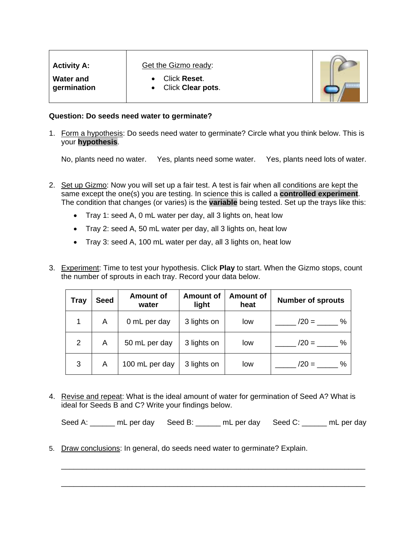| <b>Activity A:</b>              | <b>Get the Gizmo ready:</b>                           |  |
|---------------------------------|-------------------------------------------------------|--|
| <b>Water and</b><br>germination | <b>Click Reset.</b><br>Click Clear pots.<br>$\bullet$ |  |

#### **Question: Do seeds need water to germinate?**

1. Form a hypothesis: Do seeds need water to germinate? Circle what you think below. This is your **hypothesis**.

No, plants need no water. Yes, plants need some water. Yes, plants need lots of water.

- 2. Set up Gizmo: Now you will set up a fair test. A test is fair when all conditions are kept the same except the one(s) you are testing. In science this is called a **controlled experiment**. The condition that changes (or varies) is the **variable** being tested. Set up the trays like this:
	- Tray 1: seed A, 0 mL water per day, all 3 lights on, heat low
	- Tray 2: seed A, 50 mL water per day, all 3 lights on, heat low
	- Tray 3: seed A, 100 mL water per day, all 3 lights on, heat low
- 3. Experiment: Time to test your hypothesis. Click **Play** to start. When the Gizmo stops, count the number of sprouts in each tray. Record your data below.

| Tray        | <b>Seed</b> | <b>Amount of</b><br>water | <b>Amount of</b><br>light | <b>Amount of</b><br>heat | <b>Number of sprouts</b> |
|-------------|-------------|---------------------------|---------------------------|--------------------------|--------------------------|
| $\mathbf 1$ | A           | 0 mL per day              | 3 lights on               | low                      | %<br>$/20 =$             |
| 2           | A           | 50 mL per day             | 3 lights on               | low                      | %<br>$/20 =$             |
| 3           | A           | 100 mL per day            | 3 lights on               | low                      | $/20 =$<br>$\%$          |

4. Revise and repeat: What is the ideal amount of water for germination of Seed A? What is ideal for Seeds B and C? Write your findings below.

| Seed A: | mL per day Seed B: |  | mL per day Seed C: |  | mL per day |
|---------|--------------------|--|--------------------|--|------------|
|---------|--------------------|--|--------------------|--|------------|

\_\_\_\_\_\_\_\_\_\_\_\_\_\_\_\_\_\_\_\_\_\_\_\_\_\_\_\_\_\_\_\_\_\_\_\_\_\_\_\_\_\_\_\_\_\_\_\_\_\_\_\_\_\_\_\_\_\_\_\_\_\_\_\_\_\_\_\_\_\_\_\_\_

\_\_\_\_\_\_\_\_\_\_\_\_\_\_\_\_\_\_\_\_\_\_\_\_\_\_\_\_\_\_\_\_\_\_\_\_\_\_\_\_\_\_\_\_\_\_\_\_\_\_\_\_\_\_\_\_\_\_\_\_\_\_\_\_\_\_\_\_\_\_\_\_\_

5. Draw conclusions: In general, do seeds need water to germinate? Explain.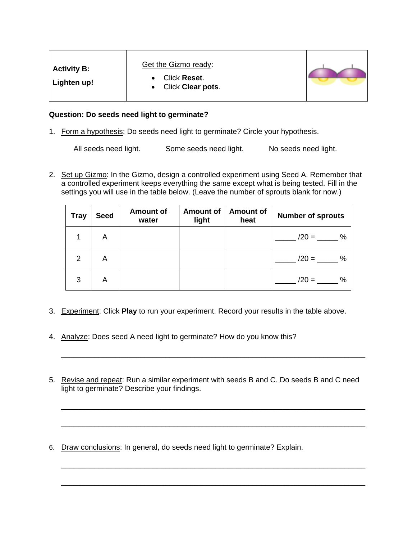| Get the Gizmo ready:<br><b>Activity B:</b><br>Click Reset.<br>Lighten up!<br>Click Clear pots. |  |
|------------------------------------------------------------------------------------------------|--|
|------------------------------------------------------------------------------------------------|--|

#### **Question: Do seeds need light to germinate?**

1. Form a hypothesis: Do seeds need light to germinate? Circle your hypothesis.

All seeds need light. Some seeds need light. No seeds need light.

2. Set up Gizmo: In the Gizmo, design a controlled experiment using Seed A. Remember that a controlled experiment keeps everything the same except what is being tested. Fill in the settings you will use in the table below. (Leave the number of sprouts blank for now.)

| <b>Tray</b> | <b>Seed</b> | <b>Amount of</b><br>water | <b>Amount of</b><br>light | <b>Amount of</b><br>heat | <b>Number of sprouts</b> |
|-------------|-------------|---------------------------|---------------------------|--------------------------|--------------------------|
|             | A           |                           |                           |                          | %<br>$/20 =$             |
| 2           | A           |                           |                           |                          | %<br>$/20 =$             |
| 3           | A           |                           |                           |                          | %<br>$/20 =$             |

- 3. Experiment: Click **Play** to run your experiment. Record your results in the table above.
- 4. Analyze: Does seed A need light to germinate? How do you know this?
- 5. Revise and repeat: Run a similar experiment with seeds B and C. Do seeds B and C need light to germinate? Describe your findings.

\_\_\_\_\_\_\_\_\_\_\_\_\_\_\_\_\_\_\_\_\_\_\_\_\_\_\_\_\_\_\_\_\_\_\_\_\_\_\_\_\_\_\_\_\_\_\_\_\_\_\_\_\_\_\_\_\_\_\_\_\_\_\_\_\_\_\_\_\_\_\_\_\_

\_\_\_\_\_\_\_\_\_\_\_\_\_\_\_\_\_\_\_\_\_\_\_\_\_\_\_\_\_\_\_\_\_\_\_\_\_\_\_\_\_\_\_\_\_\_\_\_\_\_\_\_\_\_\_\_\_\_\_\_\_\_\_\_\_\_\_\_\_\_\_\_\_

\_\_\_\_\_\_\_\_\_\_\_\_\_\_\_\_\_\_\_\_\_\_\_\_\_\_\_\_\_\_\_\_\_\_\_\_\_\_\_\_\_\_\_\_\_\_\_\_\_\_\_\_\_\_\_\_\_\_\_\_\_\_\_\_\_\_\_\_\_\_\_\_\_

\_\_\_\_\_\_\_\_\_\_\_\_\_\_\_\_\_\_\_\_\_\_\_\_\_\_\_\_\_\_\_\_\_\_\_\_\_\_\_\_\_\_\_\_\_\_\_\_\_\_\_\_\_\_\_\_\_\_\_\_\_\_\_\_\_\_\_\_\_\_\_\_\_

\_\_\_\_\_\_\_\_\_\_\_\_\_\_\_\_\_\_\_\_\_\_\_\_\_\_\_\_\_\_\_\_\_\_\_\_\_\_\_\_\_\_\_\_\_\_\_\_\_\_\_\_\_\_\_\_\_\_\_\_\_\_\_\_\_\_\_\_\_\_\_\_\_

6. Draw conclusions: In general, do seeds need light to germinate? Explain.